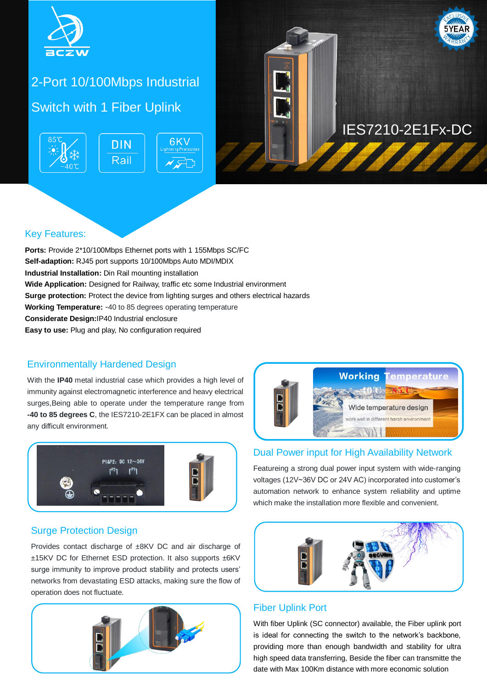

# 2-Port 10/100Mbps Industrial Switch with 1 Fiber Uplink





### Key Features:

**Ports:** Provide 2\*10/100Mbps Ethernet ports with 1 155Mbps SC/FC **Self-adaption:** RJ45 port supports 10/100Mbps Auto MDI/MDIX **Industrial Installation:** Din Rail mounting installation **Wide Application:** Designed for Railway, traffic etc some Industrial environment **Surge protection:** Protect the device from lighting surges and others electrical hazards **Working Temperature:** -40 to 85 degrees operating temperature **Considerate Design:**IP40 Industrial enclosure **Easy to use:** Plug and play, No configuration required

#### Environmentally Hardened Design

With the **IP40** metal industrial case which provides a high level of immunity against electromagnetic interference and heavy electrical surges,Being able to operate under the temperature range from **-40 to 85 degrees C**, the IES7210-2E1FX can be placed in almost any difficult environment.





#### Dual Power input for High Availability Network

Featureing a strong dual power input system with wide-ranging voltages (12V~36V DC or 24V AC) incorporated into customer's automation network to enhance system reliability and uptime which make the installation more flexible and convenient.

#### Surge Protection Design

Provides contact discharge of ±8KV DC and air discharge of ±15KV DC for Ethernet ESD protection. It also supports ±6KV surge immunity to improve product stability and protects users' networks from devastating ESD attacks, making sure the flow of operation does not fluctuate.





#### Fiber Uplink Port

With fiber Uplink (SC connector) available, the Fiber uplink port is ideal for connecting the switch to the network's backbone, providing more than enough bandwidth and stability for ultra high speed data transferring, Beside the fiber can transmitte the date with Max 100Km distance with more economic solution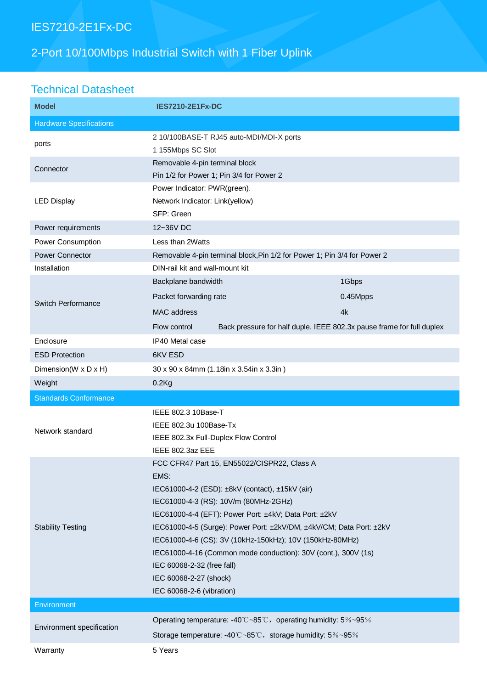# IES7210-2E1Fx-DC

# 2-Port 10/100Mbps Industrial Switch with 1 Fiber Uplink

## Technical Datasheet

| <b>Model</b>                   | <b>IES7210-2E1Fx-DC</b>                                                                                                                                                                                                                                                                                                                                                                                                                                                                            |          |  |
|--------------------------------|----------------------------------------------------------------------------------------------------------------------------------------------------------------------------------------------------------------------------------------------------------------------------------------------------------------------------------------------------------------------------------------------------------------------------------------------------------------------------------------------------|----------|--|
| <b>Hardware Specifications</b> |                                                                                                                                                                                                                                                                                                                                                                                                                                                                                                    |          |  |
| ports                          | 2 10/100BASE-T RJ45 auto-MDI/MDI-X ports<br>1 155Mbps SC Slot                                                                                                                                                                                                                                                                                                                                                                                                                                      |          |  |
| Connector                      | Removable 4-pin terminal block<br>Pin 1/2 for Power 1; Pin 3/4 for Power 2                                                                                                                                                                                                                                                                                                                                                                                                                         |          |  |
| <b>LED Display</b>             | Power Indicator: PWR(green).<br>Network Indicator: Link(yellow)<br>SFP: Green                                                                                                                                                                                                                                                                                                                                                                                                                      |          |  |
| Power requirements             | 12~36V DC                                                                                                                                                                                                                                                                                                                                                                                                                                                                                          |          |  |
| Power Consumption              | Less than 2Watts                                                                                                                                                                                                                                                                                                                                                                                                                                                                                   |          |  |
| Power Connector                | Removable 4-pin terminal block, Pin 1/2 for Power 1; Pin 3/4 for Power 2                                                                                                                                                                                                                                                                                                                                                                                                                           |          |  |
| Installation                   | DIN-rail kit and wall-mount kit                                                                                                                                                                                                                                                                                                                                                                                                                                                                    |          |  |
| Switch Performance             | Backplane bandwidth                                                                                                                                                                                                                                                                                                                                                                                                                                                                                | 1Gbps    |  |
|                                | Packet forwarding rate                                                                                                                                                                                                                                                                                                                                                                                                                                                                             | 0.45Mpps |  |
|                                | <b>MAC</b> address                                                                                                                                                                                                                                                                                                                                                                                                                                                                                 | 4k       |  |
|                                | Back pressure for half duple. IEEE 802.3x pause frame for full duplex<br>Flow control                                                                                                                                                                                                                                                                                                                                                                                                              |          |  |
| Enclosure                      | IP40 Metal case                                                                                                                                                                                                                                                                                                                                                                                                                                                                                    |          |  |
| <b>ESD Protection</b>          | 6KV ESD                                                                                                                                                                                                                                                                                                                                                                                                                                                                                            |          |  |
| Dimension(W x D x H)           | 30 x 90 x 84mm (1.18in x 3.54in x 3.3in)                                                                                                                                                                                                                                                                                                                                                                                                                                                           |          |  |
| Weight                         | $0.2$ Kg                                                                                                                                                                                                                                                                                                                                                                                                                                                                                           |          |  |
| <b>Standards Conformance</b>   |                                                                                                                                                                                                                                                                                                                                                                                                                                                                                                    |          |  |
| Network standard               | IEEE 802.3 10Base-T<br>IEEE 802.3u 100Base-Tx<br>IEEE 802.3x Full-Duplex Flow Control<br>IEEE 802.3az EEE                                                                                                                                                                                                                                                                                                                                                                                          |          |  |
| <b>Stability Testing</b>       | FCC CFR47 Part 15, EN55022/CISPR22, Class A<br>EMS:<br>IEC61000-4-2 (ESD): ±8kV (contact), ±15kV (air)<br>IEC61000-4-3 (RS): 10V/m (80MHz-2GHz)<br>IEC61000-4-4 (EFT): Power Port: ±4kV; Data Port: ±2kV<br>IEC61000-4-5 (Surge): Power Port: ±2kV/DM, ±4kV/CM; Data Port: ±2kV<br>IEC61000-4-6 (CS): 3V (10kHz-150kHz); 10V (150kHz-80MHz)<br>IEC61000-4-16 (Common mode conduction): 30V (cont.), 300V (1s)<br>IEC 60068-2-32 (free fall)<br>IEC 60068-2-27 (shock)<br>IEC 60068-2-6 (vibration) |          |  |
| Environment                    |                                                                                                                                                                                                                                                                                                                                                                                                                                                                                                    |          |  |
| Environment specification      | Operating temperature: -40°C~85°C, operating humidity: 5%~95%                                                                                                                                                                                                                                                                                                                                                                                                                                      |          |  |
|                                | Storage temperature: -40°C~85°C, storage humidity: 5%~95%                                                                                                                                                                                                                                                                                                                                                                                                                                          |          |  |
| Warranty                       | 5 Years                                                                                                                                                                                                                                                                                                                                                                                                                                                                                            |          |  |